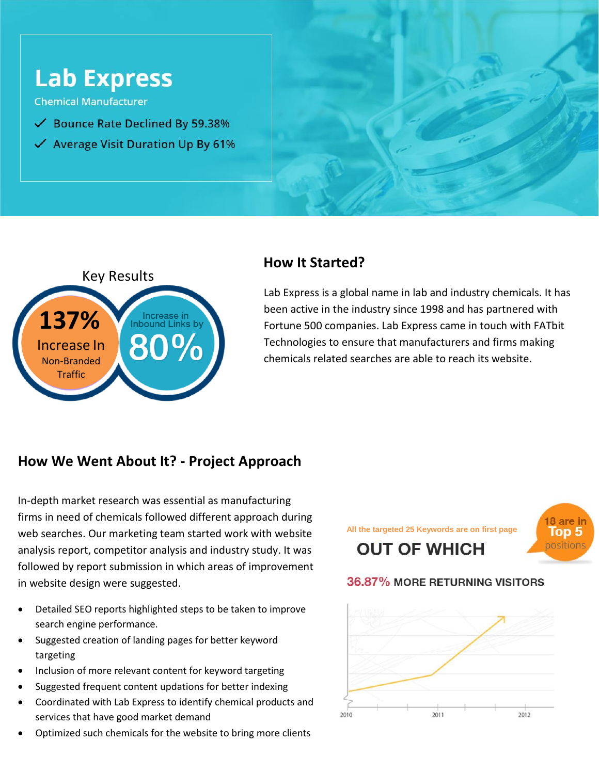



# **How It Started?**

Lab Express is a global name in lab and industry chemicals. It has been active in the industry since 1998 and has partnered with Fortune 500 companies. Lab Express came in touch with FATbit Technologies to ensure that manufacturers and firms making chemicals related searches are able to reach its website.

## **How We Went About It? - Project Approach**

In-depth market research was essential as manufacturing firms in need of chemicals followed different approach during web searches. Our marketing team started work with website analysis report, competitor analysis and industry study. It was followed by report submission in which areas of improvement in website design were suggested.

- Detailed SEO reports highlighted steps to be taken to improve search engine performance.
- Suggested creation of landing pages for better keyword targeting
- Inclusion of more relevant content for keyword targeting
- Suggested frequent content updations for better indexing
- Coordinated with Lab Express to identify chemical products and services that have good market demand
- Optimized such chemicals for the website to bring more clients

**All the targeted 25 Keywords are on first page OUT OF WHICH** 



#### 36.87% MORE RETURNING VISITORS